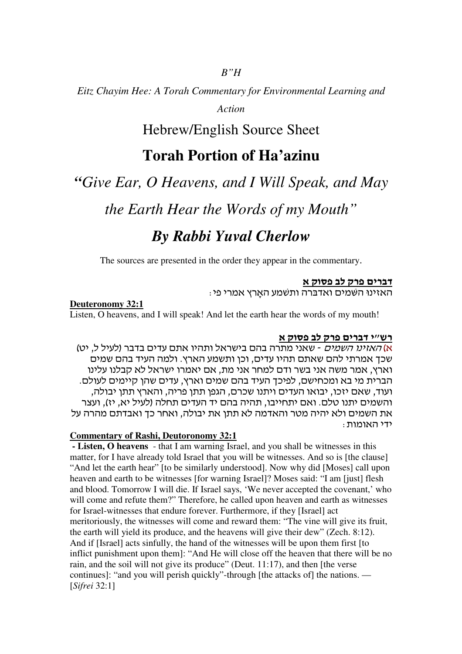## *B"H*

*Eitz Chayim Hee: A Torah Commentary for Environmental Learning and* 

*Action*

## Hebrew/English Source Sheet

# **Torah Portion of Ha'azinu**

## *"Give Ear, O Heavens, and I Will Speak, and May*

*the Earth Hear the Words of my Mouth"*

# *By Rabbi Yuval Cherlow*

The sources are presented in the order they appear in the commentary.

## דברי פרק לב פסוק א

. האזינו השמים ואדברה ותשמע הארץ אמרי פי

#### **Deuteronomy 32:1**

Listen, O heavens, and I will speak! And let the earth hear the words of my mouth!

## <u>רש"י דברים פרק לב פסוק א</u>

א) *האזינו השמים -* שאני מתרה בהם בישראל ותהיו אתם עדים בדבר (לעיל ל, יט) שכך אמרתי להם שאתם תהיו עדים, וכן ותשמע הארץ. ולמה העיד בהם שמים וארץ, אמר משה אני בשר ודם למחר אני מת, אם יאמרו ישראל לא קבלנו עלינו הברית מי בא ומכחישם, לפיכך העיד בהם שמים וארץ, עדים שהן קיימים לעולם. ועוד, שאם יזכו, יבואו העדים ויתנו שכרם, הגפן תתן פריה, והארץ תתן יבולה, והשמים יתנו טלם. ואם יתחייבו, תהיה בהם יד העדים תחלה (לעיל יא, יז), ועצר את השמים ולא יהיה מטר והאדמה לא תתן את יבולה, ואחר כך ואבדתם מהרה על ידי האומות :

#### **Commentary of Rashi, Deutoronomy 32:1**

 **- Listen, O heavens** - that I am warning Israel, and you shall be witnesses in this matter, for I have already told Israel that you will be witnesses. And so is [the clause] "And let the earth hear" [to be similarly understood]. Now why did [Moses] call upon heaven and earth to be witnesses [for warning Israel]? Moses said: "I am [just] flesh and blood. Tomorrow I will die. If Israel says, 'We never accepted the covenant,' who will come and refute them?" Therefore, he called upon heaven and earth as witnesses for Israel-witnesses that endure forever. Furthermore, if they [Israel] act meritoriously, the witnesses will come and reward them: "The vine will give its fruit, the earth will yield its produce, and the heavens will give their dew" (Zech. 8:12). And if [Israel] acts sinfully, the hand of the witnesses will be upon them first [to inflict punishment upon them]: "And He will close off the heaven that there will be no rain, and the soil will not give its produce" (Deut. 11:17), and then [the verse continues]: "and you will perish quickly"-through [the attacks of] the nations. — [*Sifrei* 32:1]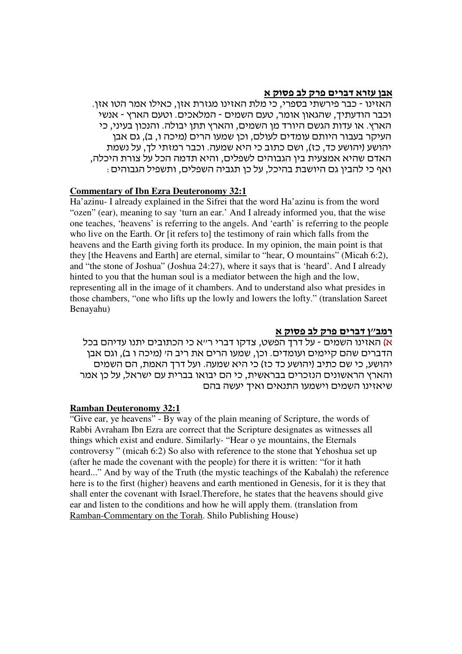## <u>אבן עזרא דברים פרק לב פסוק א</u>

. האזינו - כבר פירשתי בספרי, כי מלת האזינו מגזרת אזן, כאילו אמר הטו אזן וכבר הודעתיך, שהגאון אומר, טעם השמים - המלאכים. וטעם הארץ - אנשי הארץ. או עדות הגשם היורד מו השמים, והארץ תתו יבולה. והנכון בעיני, כי העיקר בעבור היותם עומדים לעולם, וכו שמעו הרים (מיכה ו, ב), גם אבו יהושע (יהושע כד, כז), ושם כתוב כי היא שמעה. וכבר רמזתי לך, על נשמת האדם שהיא אמצעית בין הגבוהים לשפלים, והיא תדמה הכל על צורת היכלה, ואף כי להבין גם היושבת בהיכל, על כו תגביה השפלים, ותשפיל הגבוהים <del>.</del>

#### **Commentary of Ibn Ezra Deuteronomy 32:1**

Ha'azinu- I already explained in the Sifrei that the word Ha'azinu is from the word "ozen" (ear), meaning to say 'turn an ear.' And I already informed you, that the wise one teaches, 'heavens' is referring to the angels. And 'earth' is referring to the people who live on the Earth. Or [it refers to] the testimony of rain which falls from the heavens and the Earth giving forth its produce. In my opinion, the main point is that they [the Heavens and Earth] are eternal, similar to "hear, O mountains" (Micah 6:2), and "the stone of Joshua" (Joshua 24:27), where it says that is 'heard'. And I already hinted to you that the human soul is a mediator between the high and the low, representing all in the image of it chambers. And to understand also what presides in those chambers, "one who lifts up the lowly and lowers the lofty." (translation Sareet Benayahu)

## <u>רמב׳׳ן דברים פרק לב פסוק א</u>

א) האזינו השמים - על דרך הפשט, צדקו דברי ר״א כי הכתובים יתנו עדיהם בכל הדברים שהם קיימים ועומדים. וכן, שמעו הרים את ריב ה׳ (מיכה ו ב), וגם אבן יהושע, כי שם כתיב (יהושע כד כז) כי היא שמעה. ועל דרך האמת, הם השמים והארץ הראשונים הנזכרים בבראשית, כי הם יבואו בברית עם ישראל, על כן אמר שיאזינו השמים וישמעו התנאים ואיך יעשה בהם

#### **Ramban Deuteronomy 32:1**

"Give ear, ye heavens" - By way of the plain meaning of Scripture, the words of Rabbi Avraham Ibn Ezra are correct that the Scripture designates as witnesses all things which exist and endure. Similarly- "Hear o ye mountains, the Eternals controversy " (micah 6:2) So also with reference to the stone that Yehoshua set up (after he made the covenant with the people) for there it is written: "for it hath heard..." And by way of the Truth (the mystic teachings of the Kabalah) the reference here is to the first (higher) heavens and earth mentioned in Genesis, for it is they that shall enter the covenant with Israel.Therefore, he states that the heavens should give ear and listen to the conditions and how he will apply them. (translation from Ramban-Commentary on the Torah. Shilo Publishing House)